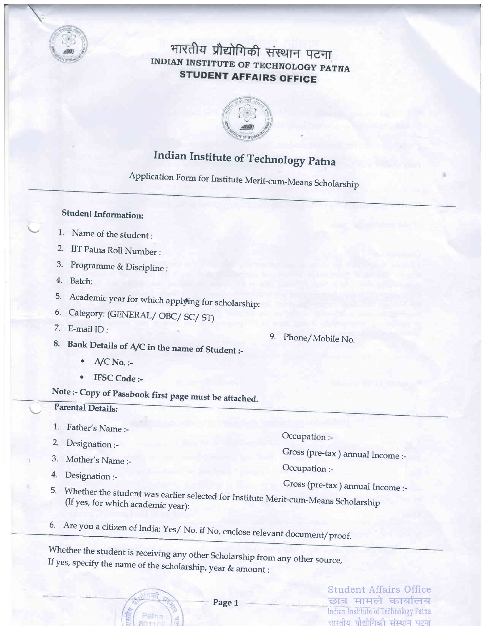

## भारतीय प्रौद्योगिकी संस्थान पटना INDIAN INSTITUTE OF TECHNOLOGY PATNA **STUDENT AFFAIRS OFFICE**



# **Indian Institute of Technology Patna**

Application Form for Institute Merit-cum-Means Scholarship

### **Student Information:**

- 1. Name of the student:
- 2. IIT Patna Roll Number:
- 3. Programme & Discipline :
- 4. Batch:
- 5. Academic year for which applying for scholarship:
- 6. Category: (GENERAL/OBC/SC/ST)
- 7. E-mail  $ID:$
- 8. Bank Details of A/C in the name of Student :-
	- $A/C$  No. :- $\bullet$
	- **IFSC** Code :-

# Note :- Copy of Passbook first page must be attached.

Patna

### **Parental Details:**

- 1. Father's Name :-
- 2. Designation :-
- 3. Mother's Name :-
- 4. Designation :-

Occupation :-

9. Phone/Mobile No:

Gross (pre-tax) annual Income :-

Occupation :-

- Gross (pre-tax) annual Income :-
- 5. Whether the student was earlier selected for Institute Merit-cum-Means Scholarship (If yes, for which academic year):
- 6. Are you a citizen of India: Yes/ No. if No, enclose relevant document/proof.

Whether the student is receiving any other Scholarship from any other source, If yes, specify the name of the scholarship, year & amount :

**Student Affairs Office** छात्र मामले कार्यालय Indian Institute of Technology Patna भारतीय प्रौद्योगिको संस्थान पटना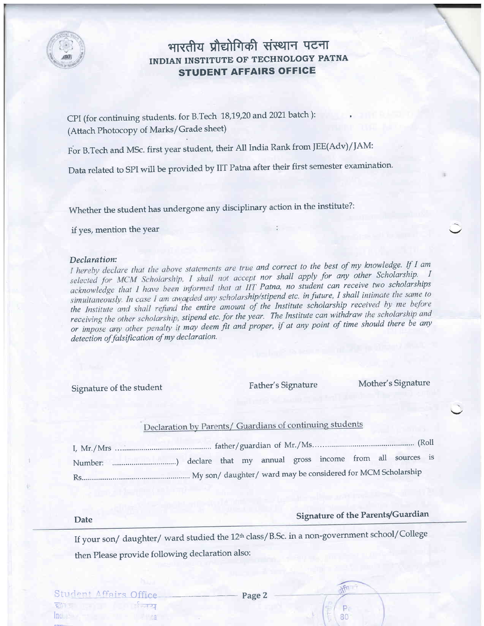

### भारतीय प्रौद्योगिकी संस्थान पटना INDIAN INSTITUTE OF TECHNOLOGY PATNA STUDENT AFFAIRS OFFIGE

CPI (for continuing students. for B.Tech 18,19,20 and 2021 batch): (Attach Photocopy of Marks/Grade sheet)

For B.Tech and MSc. first year student, their All India Rank from |EE(Adv)/JAM:

Data related to SPI will be provided by IIT Patna after their first semester examination.

whether the student has undergone any disciplinary action in the institute?:

if yes, mention the Year

#### Declaration:

I hereby declare that the above statements are true and correct to the best of my knowledge. If I am selected for MCM Scholarship, I shall not accept nor shall apply for any other Scholarship. I acknowledge that I have been informed that at IIT Patna, no student can receive two scholarships simultaneously. In case I am awarded any scholarship/stipend etc. in future, I shall intimate the same to the Institute and shall refund the entire amount of the Institute scholarship received by me before receiving the other scholarship, stipend etc. for the year. The Institute can withdraw the scholarship and or impose any other penalty it may deem fit and proper, if at any point of time should there be any detection of falsification of my declaration.

Signature of the student Father's Signature Mother's Signature

### Declaration by Parents/ Guardians of continuing students

### Date Signature of the Parents/Guardian

in

P 80

If your son/daughter/ward studied the 12<sup>th</sup> class/B.Sc. in a non-government school/College then Please provide following declaration also:

Inc, rate is a construction of the construction of the construction of the construction of the construction of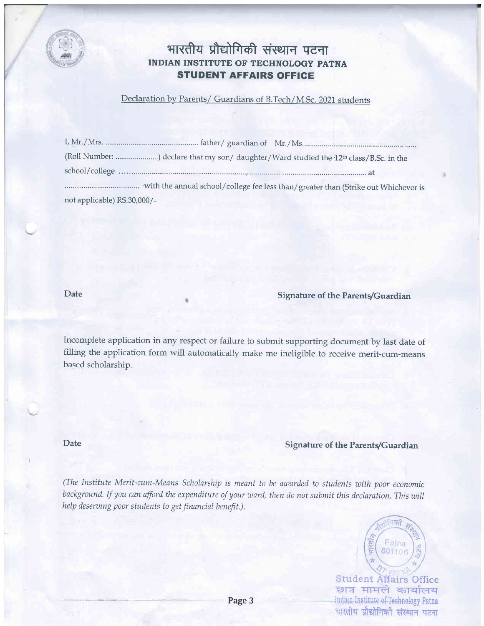

### भारतीय प्रौद्योगिकी संस्थान पटना INDIAN INSTITUTE OF TECHNOLOGY PATNA STUDENT AFFAIRS OFFIGE

#### Declaration by Parents/ Guardians of B.Tech/M.Sc. 2021 students

|                             | (Roll Number: ) declare that my son/ daughter/Ward studied the 12 <sup>th</sup> class/B.Sc. in the |
|-----------------------------|----------------------------------------------------------------------------------------------------|
|                             |                                                                                                    |
|                             | with the annual school/college fee less than/greater than (Strike out Whichever is                 |
| not applicable) RS.30,000/- |                                                                                                    |

Date

#### Signature of the Parents/Guardian

Incomplete application in any respect or failure to submit supporting document by last date of filling the application form wilI automatically make me ineligible to receive merit-cum-means based scholarship.

Date

#### Signature of the Parents/Guardian

(The Institute Merit-cum-Means Scholarship is meant to be awarded to students with poor economic background. If you can afford the expenditure of your ward, then do not submit this declaration. This will help deserving poor students to get financial benefit.).



Student Affairs Office<br>छात्र मामले कार्यालय Indian Institute of Teehnology Patna धारतीय प्रौद्योगिकी संस्थान पटना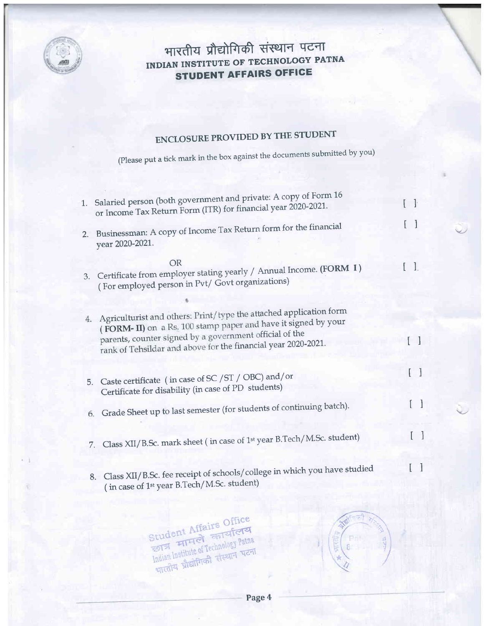

## भारतीय प्रौद्योगिकी संस्थान पटना INDIAN INSTITUTE OF TECHNOLOGY PATNA **STUDENT AFFAIRS OFFICE**

# **ENCLOSURE PROVIDED BY THE STUDENT**

(Please put a tick mark in the box against the documents submitted by you)

|    | 1. Salaried person (both government and private: A copy of Form 16                                                                                                                                                                                              | $\Box$       |
|----|-----------------------------------------------------------------------------------------------------------------------------------------------------------------------------------------------------------------------------------------------------------------|--------------|
|    | or Income Tax Return Form (ITR) for financial year 2020-2021.                                                                                                                                                                                                   |              |
|    | 2. Businessman: A copy of Income Tax Return form for the financial<br>year 2020-2021.                                                                                                                                                                           |              |
|    | <b>OR</b>                                                                                                                                                                                                                                                       |              |
| 3. | Certificate from employer stating yearly / Annual Income. (FORM I)<br>(For employed person in Pvt/ Govt organizations)                                                                                                                                          |              |
|    |                                                                                                                                                                                                                                                                 |              |
| 4. | Agriculturist and others: Print/type the attached application form<br>(FORM-II) on a Rs. 100 stamp paper and have it signed by your<br>parents, counter signed by a government official of the<br>rank of Tehsildar and above for the financial year 2020-2021. | $\mathbf{1}$ |
| 5. | Caste certificate (in case of SC / ST / OBC) and/or<br>Certificate for disability (in case of PD students)                                                                                                                                                      | $\Box$       |
| 6. | Grade Sheet up to last semester (for students of continuing batch).                                                                                                                                                                                             |              |
| 7. | Class XII/B.Sc. mark sheet (in case of 1 <sup>st</sup> year B.Tech/M.Sc. student)                                                                                                                                                                               |              |
|    | 8. Class XII/B.Sc. fee receipt of schools/college in which you have studied<br>(in case of 1 <sup>st</sup> year B.Tech/M.Sc. student)                                                                                                                           |              |

Student Affairs Office Indian Institute of Technology Patna भारतीय प्रौद्योगिकी संस्थान पटना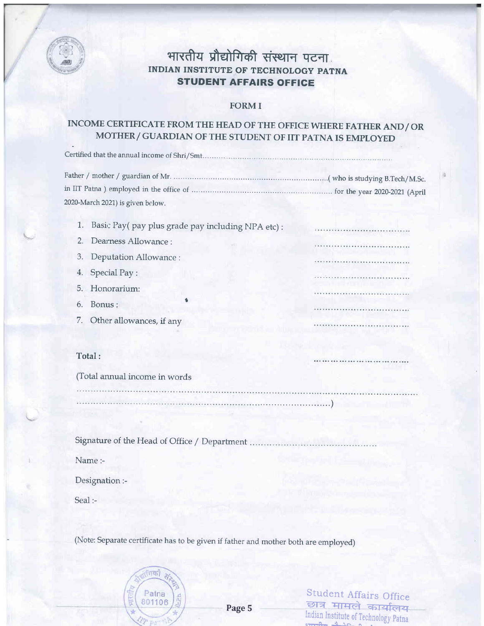

\=

### भारतीय प्रौद्योगिकी संस्थान पटना. INDIAN INSTITUTE OF TECHNOLOGY PATNA STUDENT AFFAIRS OFFICE

#### FORM I

### INCOME CERTIFICATE FROM THE HEAD OF THE OFFICE WHERE FATHER AND/ OR MOTHER/ GUARDIAN OF THE STUDENT OF IIT PATNA IS EMPLOYED

| 2020-March 2021) is given below. |  |
|----------------------------------|--|

1. Basic Pay( pay plus grade pay including NPA etc) :

- 2. Dearness Allowance :
- 3. Deputation Allowance :
- 4. Special Pay:
- 5. Honorarium:
- 6. Bonus: <sup>t</sup>
- 7. Other allowances, if any

#### Total:

(Total annual income in words

Signature of the Head of Office / Department

Name:-

Designation;-

Seal :-

(Note: Separate certificate has to be given if father and mother both are employed)